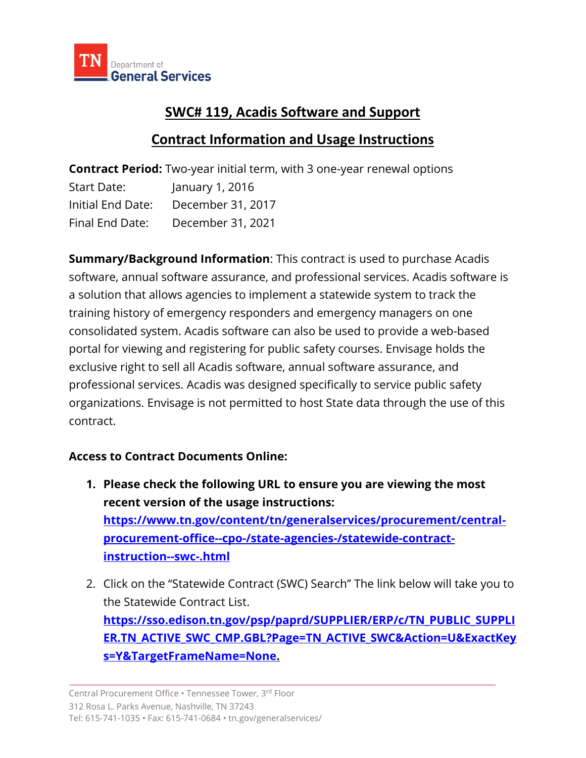

# **SWC# 119, Acadis Software and Support**

# **Contract Information and Usage Instructions**

**Contract Period:** Two-year initial term, with 3 one-year renewal options Start Date: January 1, 2016 Initial End Date: December 31, 2017 Final End Date: December 31, 2021

**Summary/Background Information**: This contract is used to purchase Acadis software, annual software assurance, and professional services. Acadis software is a solution that allows agencies to implement a statewide system to track the training history of emergency responders and emergency managers on one consolidated system. Acadis software can also be used to provide a web-based portal for viewing and registering for public safety courses. Envisage holds the exclusive right to sell all Acadis software, annual software assurance, and professional services. Acadis was designed specifically to service public safety organizations. Envisage is not permitted to host State data through the use of this contract.

# **Access to Contract Documents Online:**

- **1. Please check the following URL to ensure you are viewing the most recent version of the usage instructions: [https://www.tn.gov/content/tn/generalservices/procurement/central](https://www.tn.gov/content/tn/generalservices/procurement/central-procurement-office--cpo-/state-agencies-/statewide-contract-instruction--swc-.html)[procurement-office--cpo-/state-agencies-/statewide-contract](https://www.tn.gov/content/tn/generalservices/procurement/central-procurement-office--cpo-/state-agencies-/statewide-contract-instruction--swc-.html)[instruction--swc-.html](https://www.tn.gov/content/tn/generalservices/procurement/central-procurement-office--cpo-/state-agencies-/statewide-contract-instruction--swc-.html)**
- 2. Click on the "Statewide Contract (SWC) Search" The link below will take you to the Statewide Contract List. **[https://sso.edison.tn.gov/psp/paprd/SUPPLIER/ERP/c/TN\\_PUBLIC\\_SUPPLI](https://sso.edison.tn.gov/psp/paprd/SUPPLIER/ERP/c/TN_PUBLIC_SUPPLIER.TN_ACTIVE_SWC_CMP.GBL?Page=TN_ACTIVE_SWC&Action=U&ExactKeys=Y&TargetFrameName=None) [ER.TN\\_ACTIVE\\_SWC\\_CMP.GBL?Page=TN\\_ACTIVE\\_SWC&Action=U&ExactKey](https://sso.edison.tn.gov/psp/paprd/SUPPLIER/ERP/c/TN_PUBLIC_SUPPLIER.TN_ACTIVE_SWC_CMP.GBL?Page=TN_ACTIVE_SWC&Action=U&ExactKeys=Y&TargetFrameName=None) [s=Y&TargetFrameName=None.](https://sso.edison.tn.gov/psp/paprd/SUPPLIER/ERP/c/TN_PUBLIC_SUPPLIER.TN_ACTIVE_SWC_CMP.GBL?Page=TN_ACTIVE_SWC&Action=U&ExactKeys=Y&TargetFrameName=None)**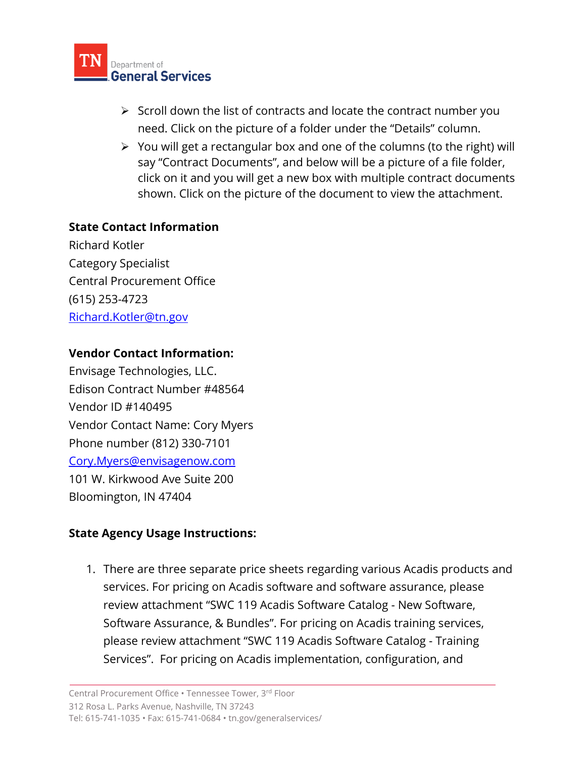

- $\triangleright$  Scroll down the list of contracts and locate the contract number you need. Click on the picture of a folder under the "Details" column.
- ➢ You will get a rectangular box and one of the columns (to the right) will say "Contract Documents", and below will be a picture of a file folder, click on it and you will get a new box with multiple contract documents shown. Click on the picture of the document to view the attachment.

# **State Contact Information**

Richard Kotler Category Specialist Central Procurement Office (615) 253-4723 [Richard.Kotler@tn.gov](mailto:Richard.Kotler@tn.gov)

# **Vendor Contact Information:**

Envisage Technologies, LLC. Edison Contract Number #48564 Vendor ID #140495 Vendor Contact Name: Cory Myers Phone number (812) 330-7101 [Cory.Myers@envisagenow.com](mailto:Michael.Lohmiller@prolifics.com) 101 W. Kirkwood Ave Suite 200 Bloomington, IN 47404

# **State Agency Usage Instructions:**

1. There are three separate price sheets regarding various Acadis products and services. For pricing on Acadis software and software assurance, please review attachment "SWC 119 Acadis Software Catalog - New Software, Software Assurance, & Bundles". For pricing on Acadis training services, please review attachment "SWC 119 Acadis Software Catalog - Training Services". For pricing on Acadis implementation, configuration, and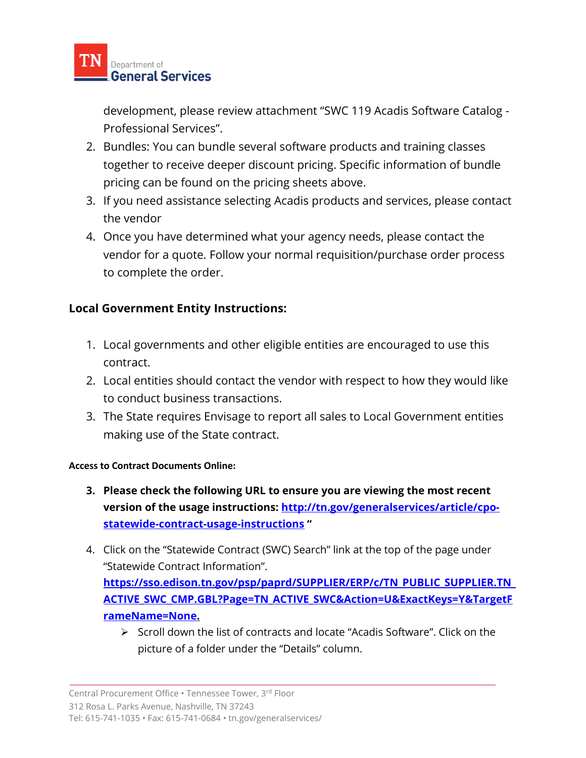

development, please review attachment "SWC 119 Acadis Software Catalog - Professional Services".

- 2. Bundles: You can bundle several software products and training classes together to receive deeper discount pricing. Specific information of bundle pricing can be found on the pricing sheets above.
- 3. If you need assistance selecting Acadis products and services, please contact the vendor
- 4. Once you have determined what your agency needs, please contact the vendor for a quote. Follow your normal requisition/purchase order process to complete the order.

# **Local Government Entity Instructions:**

- 1. Local governments and other eligible entities are encouraged to use this contract.
- 2. Local entities should contact the vendor with respect to how they would like to conduct business transactions.
- 3. The State requires Envisage to report all sales to Local Government entities making use of the State contract.

## **Access to Contract Documents Online:**

- **3. Please check the following URL to ensure you are viewing the most recent version of the usage instructions: [http://tn.gov/generalservices/article/cpo](http://tn.gov/generalservices/article/cpo-statewide-contract-usage-instructions)[statewide-contract-usage-instructions](http://tn.gov/generalservices/article/cpo-statewide-contract-usage-instructions) "**
- 4. Click on the "Statewide Contract (SWC) Search" link at the top of the page under "Statewide Contract Information". **[https://sso.edison.tn.gov/psp/paprd/SUPPLIER/ERP/c/TN\\_PUBLIC\\_SUPPLIER.TN\\_](https://sso.edison.tn.gov/psp/paprd/SUPPLIER/ERP/c/TN_PUBLIC_SUPPLIER.TN_ACTIVE_SWC_CMP.GBL?Page=TN_ACTIVE_SWC&Action=U&ExactKeys=Y&TargetFrameName=None) [ACTIVE\\_SWC\\_CMP.GBL?Page=TN\\_ACTIVE\\_SWC&Action=U&ExactKeys=Y&TargetF](https://sso.edison.tn.gov/psp/paprd/SUPPLIER/ERP/c/TN_PUBLIC_SUPPLIER.TN_ACTIVE_SWC_CMP.GBL?Page=TN_ACTIVE_SWC&Action=U&ExactKeys=Y&TargetFrameName=None) [rameName=None.](https://sso.edison.tn.gov/psp/paprd/SUPPLIER/ERP/c/TN_PUBLIC_SUPPLIER.TN_ACTIVE_SWC_CMP.GBL?Page=TN_ACTIVE_SWC&Action=U&ExactKeys=Y&TargetFrameName=None)**
	- ➢ Scroll down the list of contracts and locate "Acadis Software". Click on the picture of a folder under the "Details" column.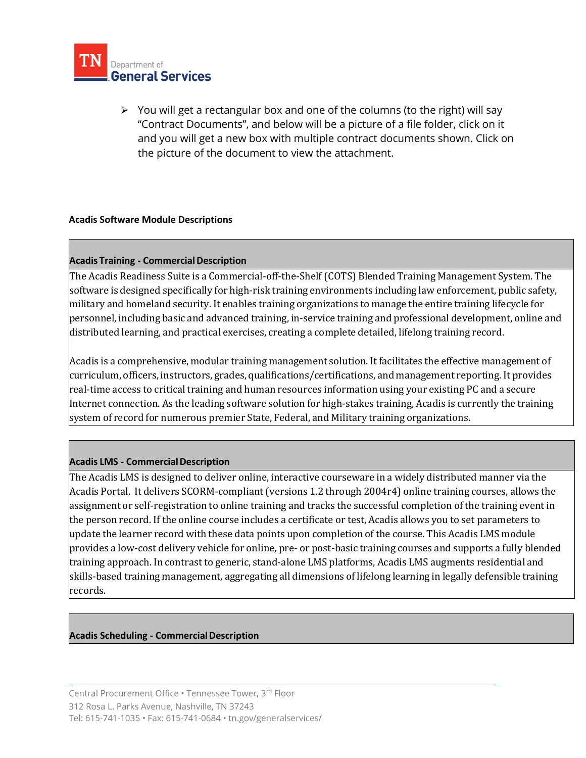

➢ You will get a rectangular box and one of the columns (to the right) will say "Contract Documents", and below will be a picture of a file folder, click on it and you will get a new box with multiple contract documents shown. Click on the picture of the document to view the attachment.

#### **Acadis Software Module Descriptions**

#### **Acadis Training - CommercialDescription**

The Acadis Readiness Suite is a Commercial‐off‐the‐Shelf(COTS) Blended Training Management System. The software is designed specifically for high-risk training environments including law enforcement, public safety, military and homeland security. It enables training organizations to manage the entire training lifecycle for personnel, including basic and advanced training, in‐service training and professional development, online and distributed learning, and practical exercises, creating a complete detailed, lifelong training record.

Acadis is a comprehensive, modular training management solution. It facilitates the effective management of curriculum, officers, instructors, grades, qualifications/certifications, and management reporting. It provides real‐time access to critical training and human resources information using your existing PC and a secure Internet connection. As the leading software solution for high‐stakes training, Acadis is currently the training system of record for numerous premier State, Federal, and Military training organizations.

#### **Acadis LMS - CommercialDescription**

The Acadis LMS is designed to deliver online, interactive courseware in a widely distributed manner via the Acadis Portal. It delivers SCORM‐compliant(versions 1.2 through 2004r4) online training courses, allows the assignment or self‐registration to online training and tracks the successful completion of the training event in the person record. If the online course includes a certificate or test, Acadis allows you to set parameters to update the learner record with these data points upon completion of the course. This Acadis LMS module provides a low‐cost delivery vehicle for online, pre‐ or post‐basic training courses and supports a fully blended training approach. In contrast to generic, stand‐alone LMS platforms, Acadis LMS augments residential and skills‐based training management, aggregating all dimensions of lifelong learning in legally defensible training records.

#### **Acadis Scheduling - CommercialDescription**

**Scheduling**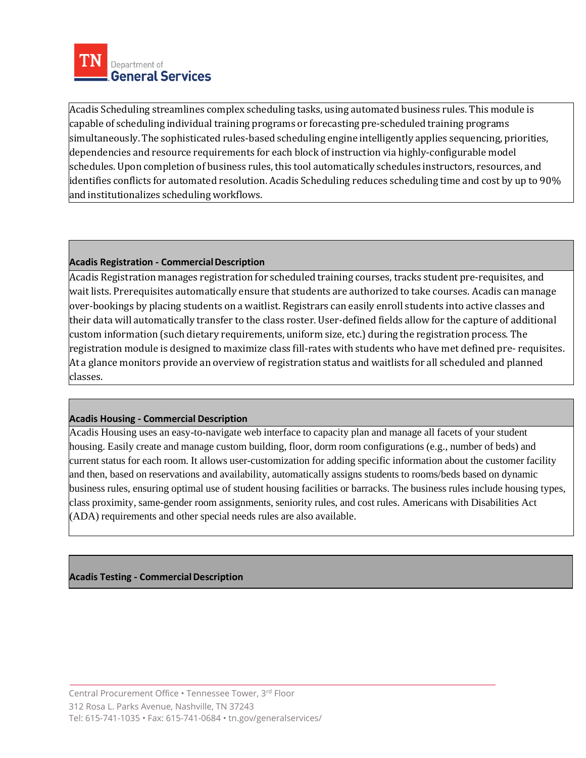

Acadis Scheduling streamlines complex scheduling tasks, using automated business rules. This module is capable of scheduling individual training programs or forecasting pre‐scheduled training programs simultaneously. The sophisticated rules‐based scheduling engine intelligently applies sequencing, priorities, dependencies and resource requirements for each block of instruction via highly‐configurable model schedules. Upon completion of business rules, this tool automatically schedules instructors, resources, and identifies conflicts for automated resolution. Acadis Scheduling reduces scheduling time and cost by up to 90% and institutionalizes scheduling workflows.

### **Acadis Registration - CommercialDescription**

Acadis Registration manages registration for scheduled training courses, tracks student pre‐requisites, and wait lists. Prerequisites automatically ensure that students are authorized to take courses. Acadis can manage over‐bookings by placing students on a waitlist. Registrars can easily enroll students into active classes and their data will automatically transfer to the class roster. User‐defined fields allow for the capture of additional custom information (such dietary requirements, uniform size, etc.) during the registration process. The registration module is designed to maximize class fill‐rates with students who have met defined pre‐ requisites. At a glance monitors provide an overview of registration status and waitlists for all scheduled and planned classes.

#### **Acadis Housing - Commercial Description**

Acadis Housing uses an easy-to-navigate web interface to capacity plan and manage all facets of your student housing. Easily create and manage custom building, floor, dorm room configurations (e.g., number of beds) and current status for each room. It allows user-customization for adding specific information about the customer facility and then, based on reservations and availability, automatically assigns students to rooms/beds based on dynamic business rules, ensuring optimal use of student housing facilities or barracks. The business rules include housing types, class proximity, same-gender room assignments, seniority rules, and cost rules. Americans with Disabilities Act (ADA) requirements and other special needs rules are also available.

### **Acadis Testing - CommercialDescription**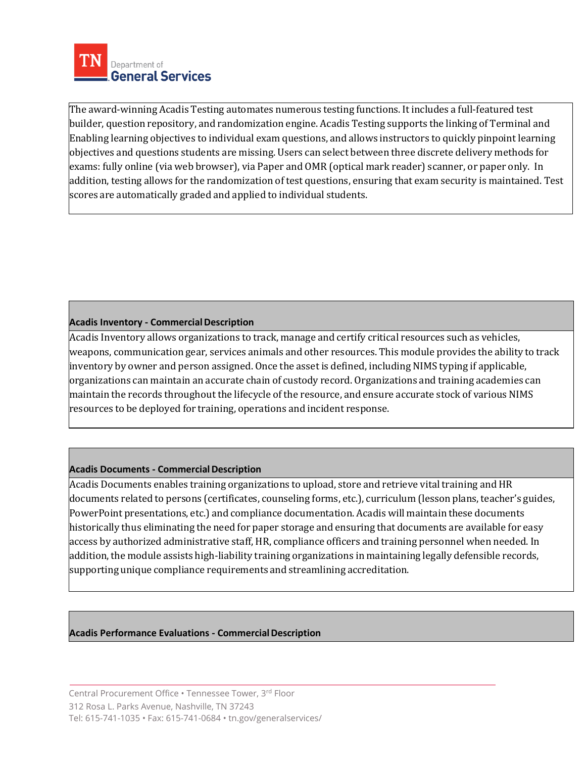

The award‐winning Acadis Testing automates numerous testing functions. It includes a full‐featured test builder, question repository, and randomization engine. Acadis Testing supports the linking of Terminal and Enabling learning objectives to individual exam questions, and allows instructors to quickly pinpoint learning objectives and questions students are missing. Users can select between three discrete delivery methods for exams: fully online (via web browser), via Paper and OMR (optical mark reader) scanner, or paper only. In addition, testing allows for the randomization of test questions, ensuring that exam security is maintained. Test scores are automatically graded and applied to individual students.

### **Acadis Inventory - CommercialDescription**

Acadis Inventory allows organizations to track, manage and certify critical resources such as vehicles, weapons, communication gear, services animals and other resources. This module provides the ability to track inventory by owner and person assigned. Once the asset is defined, including NIMS typing if applicable, organizations can maintain an accurate chain of custody record. Organizations and training academies can maintain the records throughout the lifecycle of the resource, and ensure accurate stock of various NIMS resources to be deployed for training, operations and incident response.

### **Acadis Documents - CommercialDescription**

Acadis Documents enables training organizations to upload, store and retrieve vital training and HR documents related to persons (certificates, counseling forms, etc.), curriculum (lesson plans, teacher's guides, PowerPoint presentations, etc.) and compliance documentation. Acadis will maintain these documents historically thus eliminating the need for paper storage and ensuring that documents are available for easy access by authorized administrative staff, HR, compliance officers and training personnel when needed. In addition, the module assists high‐liability training organizations in maintaining legally defensible records, supporting unique compliance requirements and streamlining accreditation.

#### **Acadis Performance Evaluations - CommercialDescription**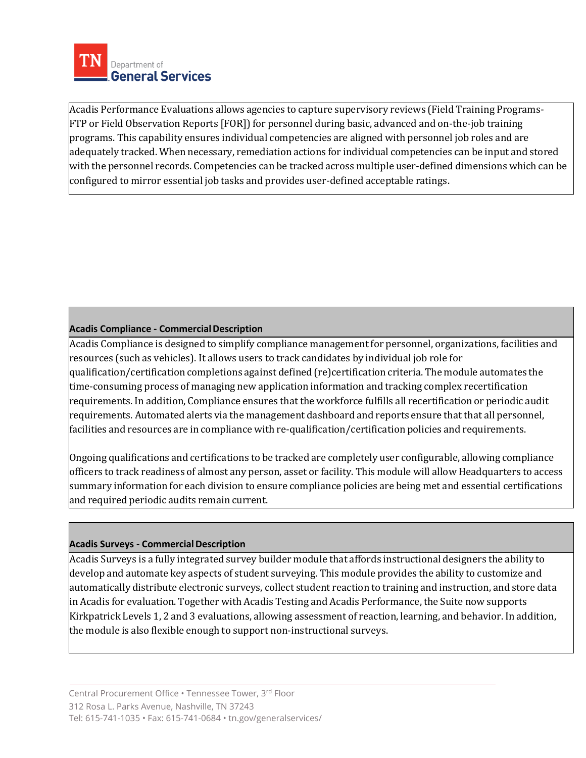

Acadis Performance Evaluations allows agencies to capture supervisory reviews (Field Training Programs‐ FTP or Field Observation Reports [FOR]) for personnel during basic, advanced and on-the-job training programs. This capability ensures individual competencies are aligned with personnel job roles and are adequately tracked. When necessary, remediation actions for individual competencies can be input and stored with the personnel records. Competencies can be tracked across multiple user‐defined dimensions which can be configured to mirror essential job tasks and provides user‐defined acceptable ratings.

## **Acadis Compliance - CommercialDescription**

Acadis Compliance is designed to simplify compliance management for personnel, organizations, facilities and resources (such as vehicles). It allows users to track candidates by individual job role for qualification/certification completions against defined (re)certification criteria. The module automates the time‐consuming process of managing new application information and tracking complex recertification requirements. In addition, Compliance ensures that the workforce fulfills all recertification or periodic audit requirements. Automated alerts via the management dashboard and reports ensure that that all personnel, facilities and resources are in compliance with re‐qualification/certification policies and requirements.

Ongoing qualifications and certifications to be tracked are completely user configurable, allowing compliance officers to track readiness of almost any person, asset or facility. This module will allow Headquarters to access summary information for each division to ensure compliance policies are being met and essential certifications and required periodic audits remain current.

#### **Acadis Surveys - CommercialDescription**

Acadis Surveys is a fully integrated survey builder module that affords instructional designers the ability to develop and automate key aspects of student surveying. This module provides the ability to customize and automatically distribute electronic surveys, collect student reaction to training and instruction, and store data in Acadis for evaluation. Together with Acadis Testing and Acadis Performance, the Suite now supports Kirkpatrick Levels 1, 2 and 3 evaluations, allowing assessment of reaction, learning, and behavior. In addition, the module is also flexible enough to support non‐instructional surveys.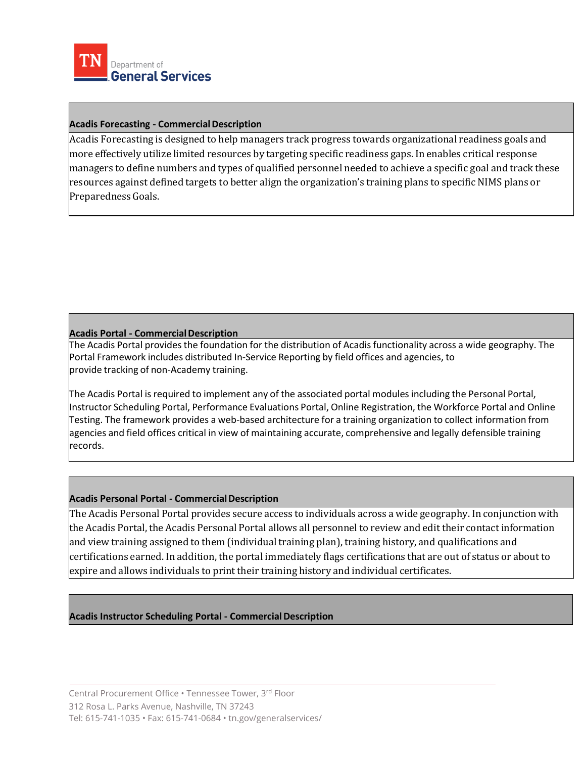

#### **Acadis Forecasting - CommercialDescription**

Acadis Forecasting is designed to help managers track progress towards organizational readiness goals and more effectively utilize limited resources by targeting specific readiness gaps. In enables critical response managers to define numbers and types of qualified personnel needed to achieve a specific goal and track these resources against defined targets to better align the organization's training plans to specific NIMS plans or PreparednessGoals.

#### **Acadis Portal - CommercialDescription**

The Acadis Portal providesthe foundation for the distribution of Acadisfunctionality across a wide geography. The Portal Framework includes distributed In‐Service Reporting by field offices and agencies, to provide tracking of non‐Academy training.

The Acadis Portal is required to implement any of the associated portal modules including the Personal Portal, Instructor Scheduling Portal, Performance Evaluations Portal, Online Registration, the Workforce Portal and Online Testing. The framework provides a web‐based architecture for a training organization to collect information from agencies and field offices critical in view of maintaining accurate, comprehensive and legally defensible training records.

### **Acadis Personal Portal - CommercialDescription**

The Acadis Personal Portal provides secure access to individuals across a wide geography. In conjunction with the Acadis Portal, the Acadis Personal Portal allows all personnel to review and edit their contact information and view training assigned to them (individual training plan), training history, and qualifications and certifications earned. In addition, the portal immediately flags certifications that are out of status or about to expire and allows individuals to print their training history and individual certificates.

### **Acadis Instructor Scheduling Portal - CommercialDescription**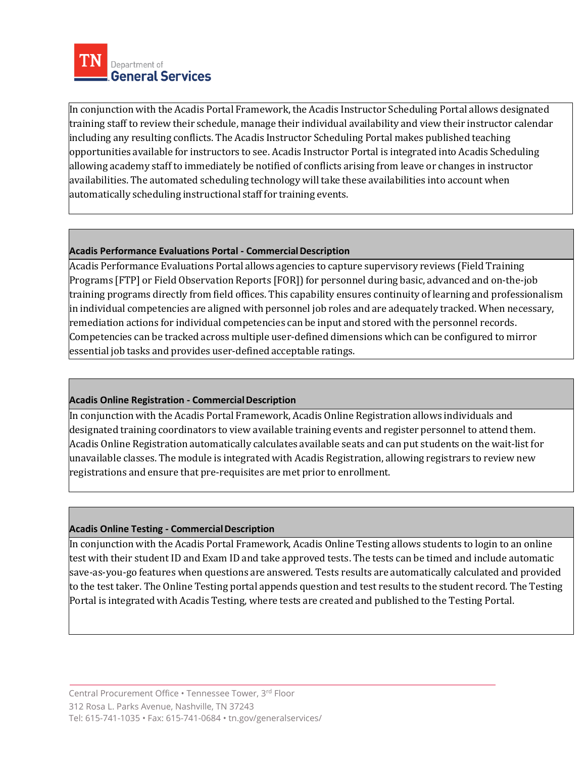

In conjunction with the Acadis Portal Framework, the Acadis Instructor Scheduling Portal allows designated training staff to review their schedule, manage their individual availability and view their instructor calendar including any resulting conflicts. The Acadis Instructor Scheduling Portal makes published teaching opportunities available for instructors to see. Acadis Instructor Portal is integrated into Acadis Scheduling allowing academy staff to immediately be notified of conflicts arising from leave or changes in instructor availabilities. The automated scheduling technology will take these availabilities into account when automatically scheduling instructional staff for training events.

### **Acadis Performance Evaluations Portal - CommercialDescription**

Acadis Performance Evaluations Portal allows agencies to capture supervisory reviews (Field Training Programs [FTP] or Field Observation Reports [FOR]) for personnel during basic, advanced and on-the-job training programs directly from field offices. This capability ensures continuity of learning and professionalism in individual competencies are aligned with personnel job roles and are adequately tracked. When necessary, remediation actions for individual competencies can be input and stored with the personnel records. Competencies can be tracked across multiple user‐defined dimensions which can be configured to mirror essential job tasks and provides user‐defined acceptable ratings.

## **Acadis Online Registration - CommercialDescription**

In conjunction with the Acadis Portal Framework, Acadis Online Registration allows individuals and designated training coordinators to view available training events and register personnel to attend them. Acadis Online Registration automatically calculates available seats and can put students on the wait‐list for unavailable classes. The module is integrated with Acadis Registration, allowing registrars to review new registrations and ensure that pre‐requisites are met prior to enrollment.

### **Acadis Online Testing - CommercialDescription**

In conjunction with the Acadis Portal Framework, Acadis Online Testing allows students to login to an online test with their student ID and Exam ID and take approved tests. The tests can be timed and include automatic save‐as‐you‐go features when questions are answered. Tests results are automatically calculated and provided to the test taker. The Online Testing portal appends question and test results to the student record. The Testing Portal is integrated with Acadis Testing, where tests are created and published to the Testing Portal.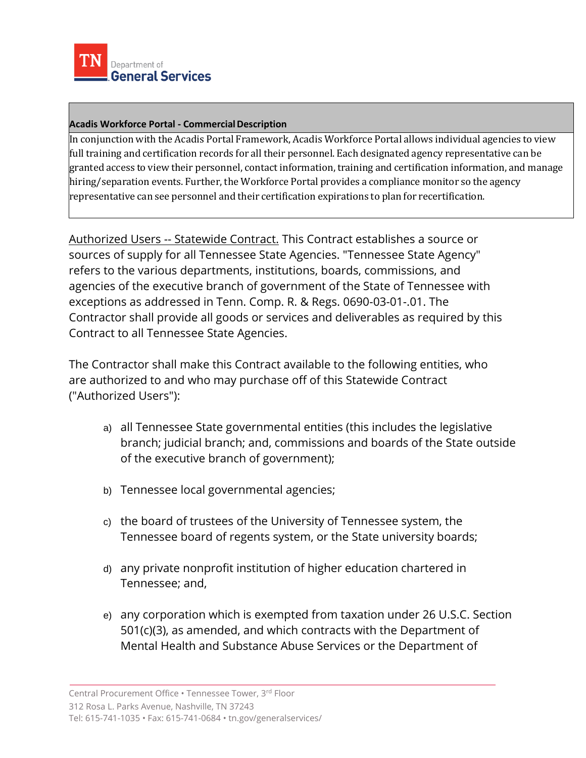

### **Acadis Workforce Portal - CommercialDescription**

In conjunction with the Acadis Portal Framework, Acadis Workforce Portal allows individual agencies to view full training and certification records for all their personnel. Each designated agency representative can be granted access to view their personnel, contact information, training and certification information, and manage hiring/separation events. Further, the Workforce Portal provides a compliance monitor so the agency representative can see personnel and their certification expirations to plan for recertification.

Authorized Users -- Statewide Contract. This Contract establishes a source or sources of supply for all Tennessee State Agencies. "Tennessee State Agency" refers to the various departments, institutions, boards, commissions, and agencies of the executive branch of government of the State of Tennessee with exceptions as addressed in Tenn. Comp. R. & Regs. 0690-03-01-.01. The Contractor shall provide all goods or services and deliverables as required by this Contract to all Tennessee State Agencies.

The Contractor shall make this Contract available to the following entities, who are authorized to and who may purchase off of this Statewide Contract ("Authorized Users"):

- a) all Tennessee State governmental entities (this includes the legislative branch; judicial branch; and, commissions and boards of the State outside of the executive branch of government);
- b) Tennessee local governmental agencies;
- c) the board of trustees of the University of Tennessee system, the Tennessee board of regents system, or the State university boards;
- d) any private nonprofit institution of higher education chartered in Tennessee; and,
- e) any corporation which is exempted from taxation under 26 U.S.C. Section 501(c)(3), as amended, and which contracts with the Department of Mental Health and Substance Abuse Services or the Department of